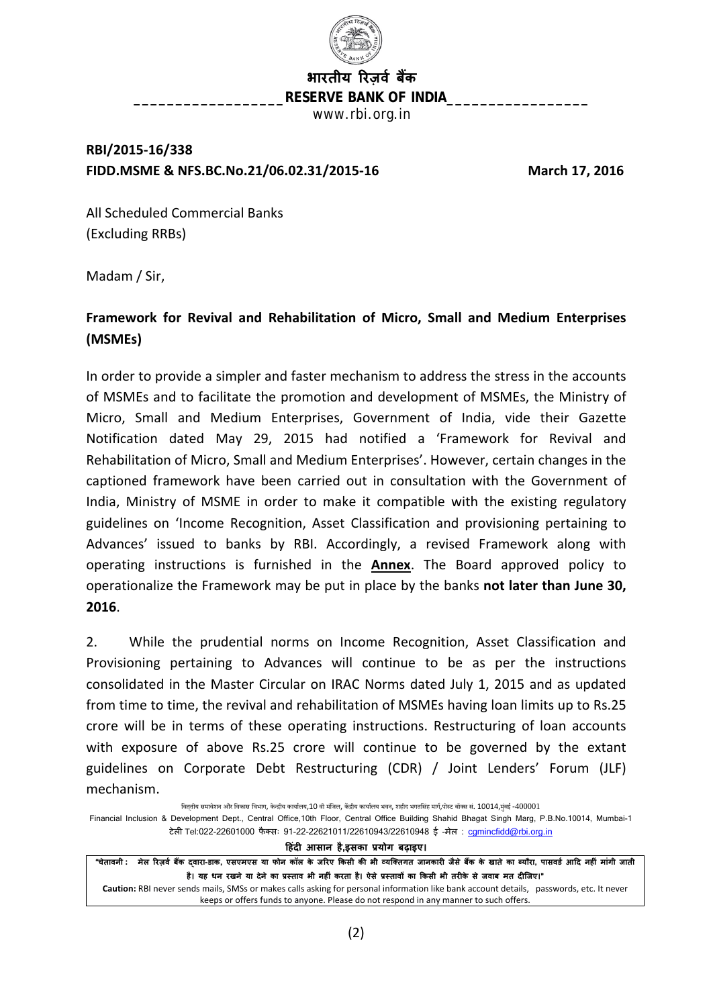

**भारतीय �रज़वर् बक�** RESERVE BANK OF INDIA\_ www.rbi.org.in

# **RBI/2015-16/338 FIDD.MSME & NFS.BC.No.21/06.02.31/2015-16 March 17, 2016**

All Scheduled Commercial Banks (Excluding RRBs)

Madam / Sir,

# **Framework for Revival and Rehabilitation of Micro, Small and Medium Enterprises (MSMEs)**

In order to provide a simpler and faster mechanism to address the stress in the accounts of MSMEs and to facilitate the promotion and development of MSMEs, the Ministry of Micro, Small and Medium Enterprises, Government of India, vide their Gazette Notification dated May 29, 2015 had notified a 'Framework for Revival and Rehabilitation of Micro, Small and Medium Enterprises'. However, certain changes in the captioned framework have been carried out in consultation with the Government of India, Ministry of MSME in order to make it compatible with the existing regulatory guidelines on 'Income Recognition, Asset Classification and provisioning pertaining to Advances' issued to banks by RBI. Accordingly, a revised Framework along with operating instructions is furnished in the **Annex**. The Board approved policy to operationalize the Framework may be put in place by the banks **not later than June 30, 2016**.

2. While the prudential norms on Income Recognition, Asset Classification and Provisioning pertaining to Advances will continue to be as per the instructions consolidated in the Master Circular on IRAC Norms dated July 1, 2015 and as updated from time to time, the revival and rehabilitation of MSMEs having loan limits up to Rs.25 crore will be in terms of these operating instructions. Restructuring of loan accounts with exposure of above Rs.25 crore will continue to be governed by the extant guidelines on Corporate Debt Restructuring (CDR) / Joint Lenders' Forum (JLF) mechanism.

वित्तीय समावेशन और विकास विभाग, केन्द्रीय कार्यालय,10 वी मंजिल, केंद्रीय कार्यालय भवन, शहीद भगतसिंह मार्ग,पोस्ट बॉक्स सं. 10014,मुंबई -400001 Financial Inclusion & Development Dept., Central Office,10th Floor, Central Office Building Shahid Bhagat Singh Marg, P.B.No.10014, Mumbai-1 टेली Tel:022-22601000 फैक्सः 91-22-22621011/22610943/22610948 ई-मेल: camincfidd@rbi.org.in **�हंद� आसान है,इसका प्रयोग बढ़ाइए।** "चेतावनी : मेल रिज़र्व बैंक दवारा-डाक, एसएमएस या फोन कॉल के जरिए किसी की भी व्यक्तिगत जानकारी जैसे बैंक के खाते का ब्यौरा, पासवर्ड आदि नहीं मांगी जाती है। यह धन रखने या देने का प्रस्ताव भी नहीं करता है। ऐसे प्रस्तावों का किसी भी तरीके से जवाब मत दीजिए।" **Caution:** RBI never sends mails, SMSs or makes calls asking for personal information like bank account details, passwords, etc. It never keeps or offers funds to anyone. Please do not respond in any manner to such offers.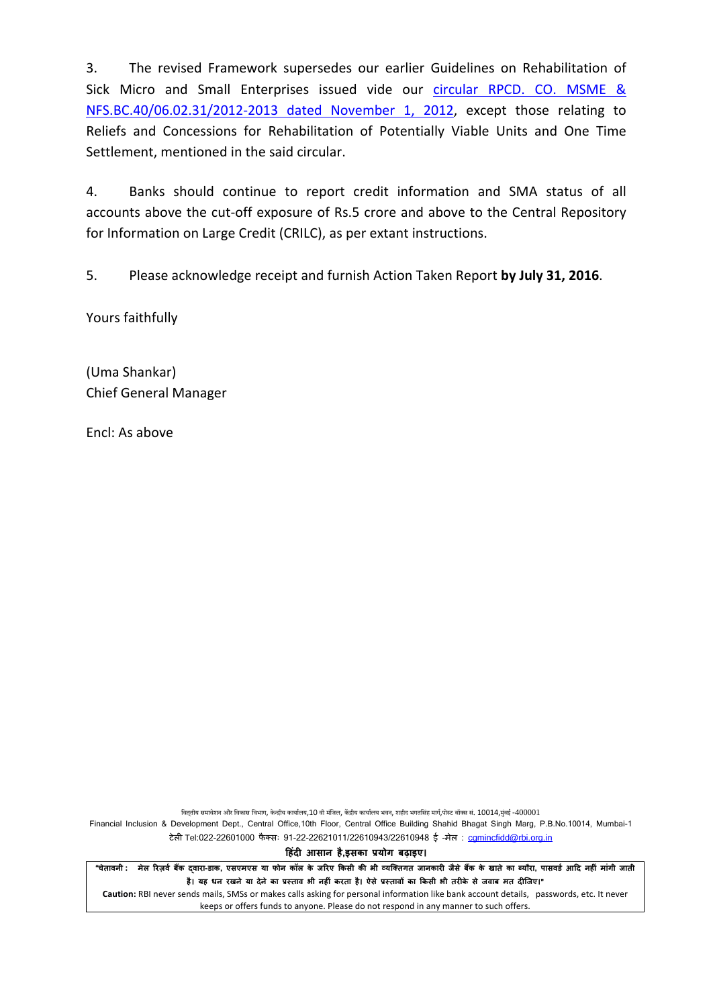3. The revised Framework supersedes our earlier Guidelines on Rehabilitation of Sick Micro and Small Enterprises issued vide our [circular RPCD.](https://rbi.org.in/Scripts/NotificationUser.aspx?Id=7664&Mode=0) CO. MSME & [NFS.BC.40/06.02.31/2012-2013 dated November 1, 2012,](https://rbi.org.in/Scripts/NotificationUser.aspx?Id=7664&Mode=0) except those relating to Reliefs and Concessions for Rehabilitation of Potentially Viable Units and One Time Settlement, mentioned in the said circular.

4. Banks should continue to report credit information and SMA status of all accounts above the cut-off exposure of Rs.5 crore and above to the Central Repository for Information on Large Credit (CRILC), as per extant instructions.

5. Please acknowledge receipt and furnish Action Taken Report **by July 31, 2016**.

Yours faithfully

(Uma Shankar) Chief General Manager

Encl: As above

वित्तीय समावेशन और विकास विभाग, केन्द्रीय कार्यालय,10 वी मंजिल, केंद्रीय कार्यालय भवन, शहीद भगतसिंह मार्ग,पोस्ट बॉक्स सं. 10014,मुंबई -400001

Financial Inclusion & Development Dept., Central Office,10th Floor, Central Office Building Shahid Bhagat Singh Marg, P.B.No.10014, Mumbai-1 टेली Tel:022-22601000 फैक्सः 91-22-22621011/22610943/22610948 ई-मेल: camincfidd@rbi.org.in

**�हंद� आसान है,इसका प्रयोग बढ़ाइए।**

"चेतावनी : मेल रिज़र्व बैंक दवारा-डाक, एसएमएस या फोन कॉल के जरिए किसी की भी व्यक्तिगत जानकारी जैसे बैंक के खाते का ब्यौरा, पासवर्ड आदि नहीं मांगी जाती है। यह धन रखने या देने का प्रस्ताव भी नहीं करता है। ऐसे प्रस्तावों का किसी भी तरीके से जवाब मत दीजिए।"

**Caution:** RBI never sends mails, SMSs or makes calls asking for personal information like bank account details, passwords, etc. It never keeps or offers funds to anyone. Please do not respond in any manner to such offers.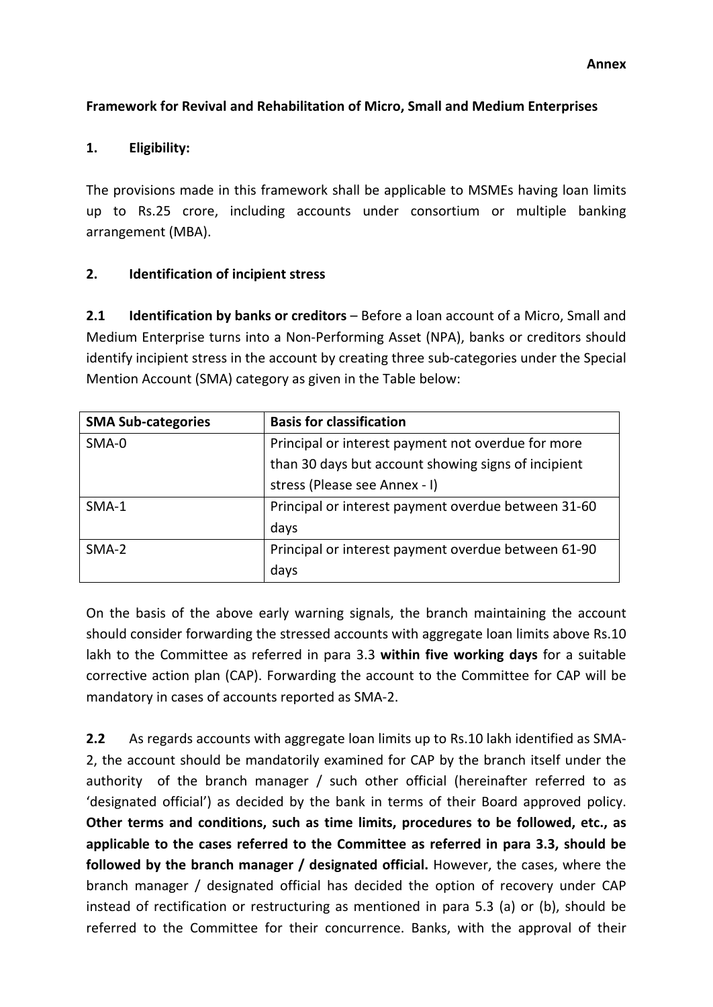### **Framework for Revival and Rehabilitation of Micro, Small and Medium Enterprises**

#### **1. Eligibility:**

The provisions made in this framework shall be applicable to MSMEs having loan limits up to Rs.25 crore, including accounts under consortium or multiple banking arrangement (MBA).

#### **2. Identification of incipient stress**

**2.1 Identification by banks or creditors** – Before a loan account of a Micro, Small and Medium Enterprise turns into a Non-Performing Asset (NPA), banks or creditors should identify incipient stress in the account by creating three sub-categories under the Special Mention Account (SMA) category as given in the Table below:

| <b>SMA Sub-categories</b> | <b>Basis for classification</b>                     |
|---------------------------|-----------------------------------------------------|
| SMA-0                     | Principal or interest payment not overdue for more  |
|                           | than 30 days but account showing signs of incipient |
|                           | stress (Please see Annex - I)                       |
| $SMA-1$                   | Principal or interest payment overdue between 31-60 |
|                           | days                                                |
| SMA-2                     | Principal or interest payment overdue between 61-90 |
|                           | days                                                |

On the basis of the above early warning signals, the branch maintaining the account should consider forwarding the stressed accounts with aggregate loan limits above Rs.10 lakh to the Committee as referred in para 3.3 **within five working days** for a suitable corrective action plan (CAP). Forwarding the account to the Committee for CAP will be mandatory in cases of accounts reported as SMA-2.

**2.2** As regards accounts with aggregate loan limits up to Rs.10 lakh identified as SMA-2, the account should be mandatorily examined for CAP by the branch itself under the authority of the branch manager / such other official (hereinafter referred to as 'designated official') as decided by the bank in terms of their Board approved policy. **Other terms and conditions, such as time limits, procedures to be followed, etc., as applicable to the cases referred to the Committee as referred in para 3.3, should be followed by the branch manager / designated official.** However, the cases, where the branch manager / designated official has decided the option of recovery under CAP instead of rectification or restructuring as mentioned in para 5.3 (a) or (b), should be referred to the Committee for their concurrence. Banks, with the approval of their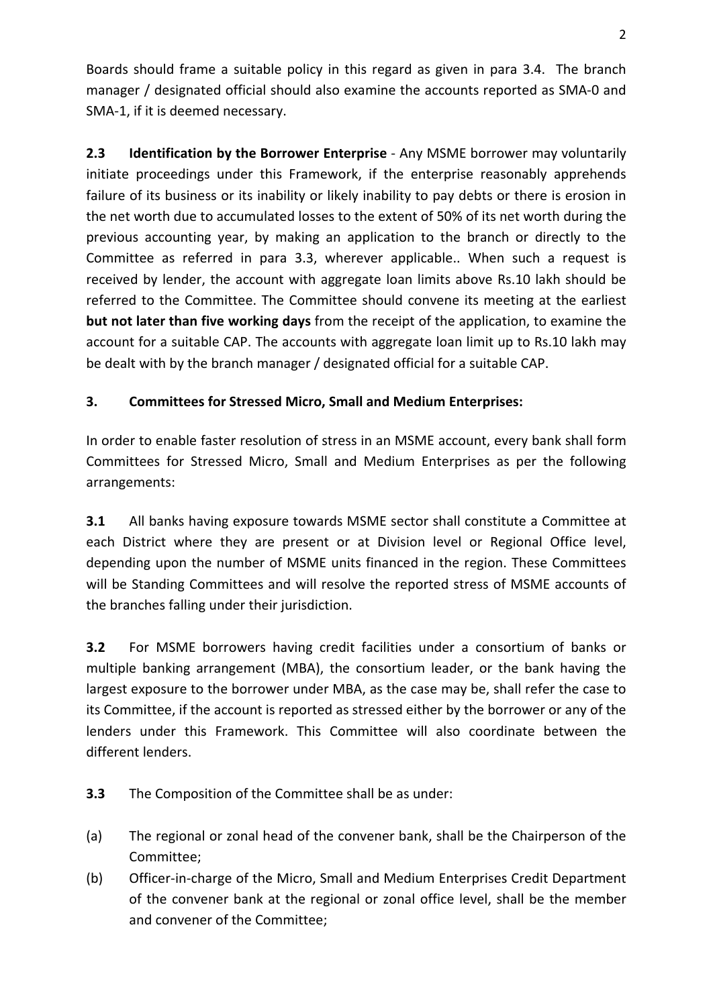Boards should frame a suitable policy in this regard as given in para 3.4. The branch manager / designated official should also examine the accounts reported as SMA-0 and SMA-1, if it is deemed necessary.

**2.3 Identification by the Borrower Enterprise** - Any MSME borrower may voluntarily initiate proceedings under this Framework, if the enterprise reasonably apprehends failure of its business or its inability or likely inability to pay debts or there is erosion in the net worth due to accumulated losses to the extent of 50% of its net worth during the previous accounting year, by making an application to the branch or directly to the Committee as referred in para 3.3, wherever applicable.. When such a request is received by lender, the account with aggregate loan limits above Rs.10 lakh should be referred to the Committee. The Committee should convene its meeting at the earliest **but not later than five working days** from the receipt of the application, to examine the account for a suitable CAP. The accounts with aggregate loan limit up to Rs.10 lakh may be dealt with by the branch manager / designated official for a suitable CAP.

# **3. Committees for Stressed Micro, Small and Medium Enterprises:**

In order to enable faster resolution of stress in an MSME account, every bank shall form Committees for Stressed Micro, Small and Medium Enterprises as per the following arrangements:

**3.1** All banks having exposure towards MSME sector shall constitute a Committee at each District where they are present or at Division level or Regional Office level, depending upon the number of MSME units financed in the region. These Committees will be Standing Committees and will resolve the reported stress of MSME accounts of the branches falling under their jurisdiction.

**3.2** For MSME borrowers having credit facilities under a consortium of banks or multiple banking arrangement (MBA), the consortium leader, or the bank having the largest exposure to the borrower under MBA, as the case may be, shall refer the case to its Committee, if the account is reported as stressed either by the borrower or any of the lenders under this Framework. This Committee will also coordinate between the different lenders.

- **3.3** The Composition of the Committee shall be as under:
- (a) The regional or zonal head of the convener bank, shall be the Chairperson of the Committee;
- (b) Officer-in-charge of the Micro, Small and Medium Enterprises Credit Department of the convener bank at the regional or zonal office level, shall be the member and convener of the Committee;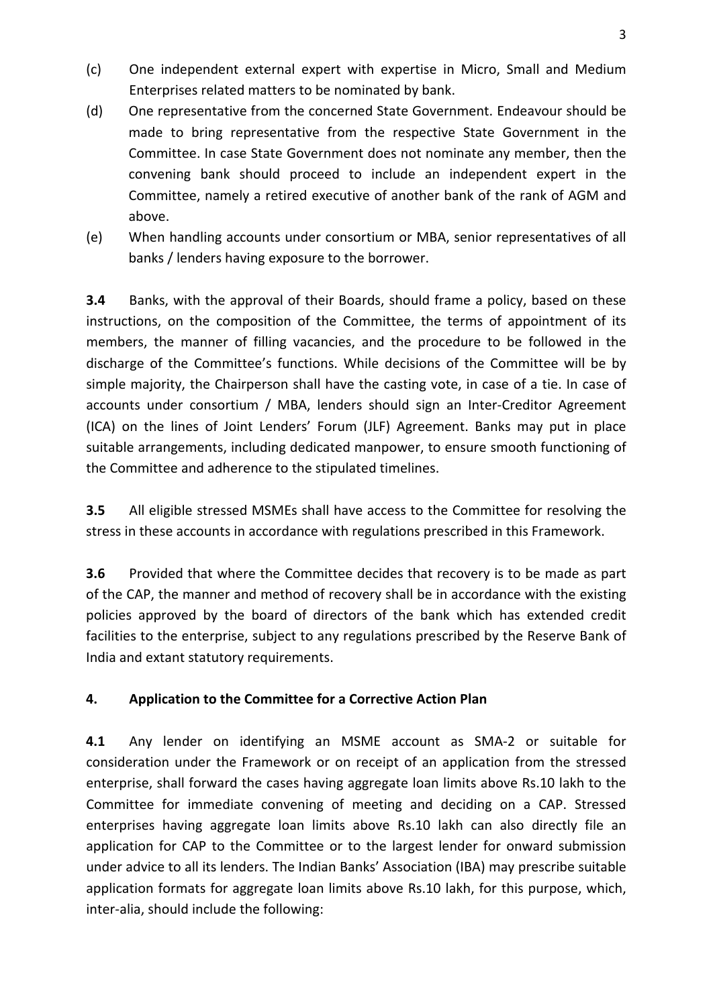- (c) One independent external expert with expertise in Micro, Small and Medium Enterprises related matters to be nominated by bank.
- (d) One representative from the concerned State Government. Endeavour should be made to bring representative from the respective State Government in the Committee. In case State Government does not nominate any member, then the convening bank should proceed to include an independent expert in the Committee, namely a retired executive of another bank of the rank of AGM and above.
- (e) When handling accounts under consortium or MBA, senior representatives of all banks / lenders having exposure to the borrower.

**3.4** Banks, with the approval of their Boards, should frame a policy, based on these instructions, on the composition of the Committee, the terms of appointment of its members, the manner of filling vacancies, and the procedure to be followed in the discharge of the Committee's functions. While decisions of the Committee will be by simple majority, the Chairperson shall have the casting vote, in case of a tie. In case of accounts under consortium / MBA, lenders should sign an Inter-Creditor Agreement (ICA) on the lines of Joint Lenders' Forum (JLF) Agreement. Banks may put in place suitable arrangements, including dedicated manpower, to ensure smooth functioning of the Committee and adherence to the stipulated timelines.

**3.5** All eligible stressed MSMEs shall have access to the Committee for resolving the stress in these accounts in accordance with regulations prescribed in this Framework.

**3.6** Provided that where the Committee decides that recovery is to be made as part of the CAP, the manner and method of recovery shall be in accordance with the existing policies approved by the board of directors of the bank which has extended credit facilities to the enterprise, subject to any regulations prescribed by the Reserve Bank of India and extant statutory requirements.

# **4. Application to the Committee for a Corrective Action Plan**

**4.1** Any lender on identifying an MSME account as SMA-2 or suitable for consideration under the Framework or on receipt of an application from the stressed enterprise, shall forward the cases having aggregate loan limits above Rs.10 lakh to the Committee for immediate convening of meeting and deciding on a CAP. Stressed enterprises having aggregate loan limits above Rs.10 lakh can also directly file an application for CAP to the Committee or to the largest lender for onward submission under advice to all its lenders. The Indian Banks' Association (IBA) may prescribe suitable application formats for aggregate loan limits above Rs.10 lakh, for this purpose, which, inter-alia, should include the following: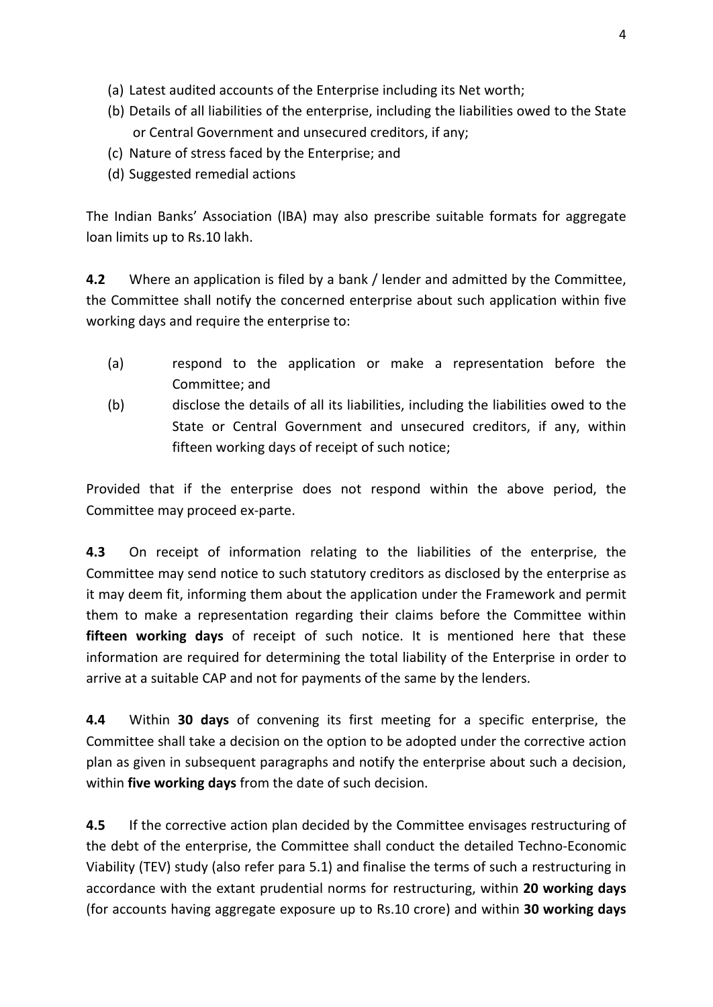- (a) Latest audited accounts of the Enterprise including its Net worth;
- (b) Details of all liabilities of the enterprise, including the liabilities owed to the State or Central Government and unsecured creditors, if any;
- (c) Nature of stress faced by the Enterprise; and
- (d) Suggested remedial actions

The Indian Banks' Association (IBA) may also prescribe suitable formats for aggregate loan limits up to Rs.10 lakh.

**4.2** Where an application is filed by a bank / lender and admitted by the Committee, the Committee shall notify the concerned enterprise about such application within five working days and require the enterprise to:

- (a) respond to the application or make a representation before the Committee; and
- (b) disclose the details of all its liabilities, including the liabilities owed to the State or Central Government and unsecured creditors, if any, within fifteen working days of receipt of such notice;

Provided that if the enterprise does not respond within the above period, the Committee may proceed ex-parte.

**4.3** On receipt of information relating to the liabilities of the enterprise, the Committee may send notice to such statutory creditors as disclosed by the enterprise as it may deem fit, informing them about the application under the Framework and permit them to make a representation regarding their claims before the Committee within **fifteen working days** of receipt of such notice. It is mentioned here that these information are required for determining the total liability of the Enterprise in order to arrive at a suitable CAP and not for payments of the same by the lenders.

**4.4** Within **30 days** of convening its first meeting for a specific enterprise, the Committee shall take a decision on the option to be adopted under the corrective action plan as given in subsequent paragraphs and notify the enterprise about such a decision, within **five working days** from the date of such decision.

**4.5** If the corrective action plan decided by the Committee envisages restructuring of the debt of the enterprise, the Committee shall conduct the detailed Techno-Economic Viability (TEV) study (also refer para 5.1) and finalise the terms of such a restructuring in accordance with the extant prudential norms for restructuring, within **20 working days**  (for accounts having aggregate exposure up to Rs.10 crore) and within **30 working days**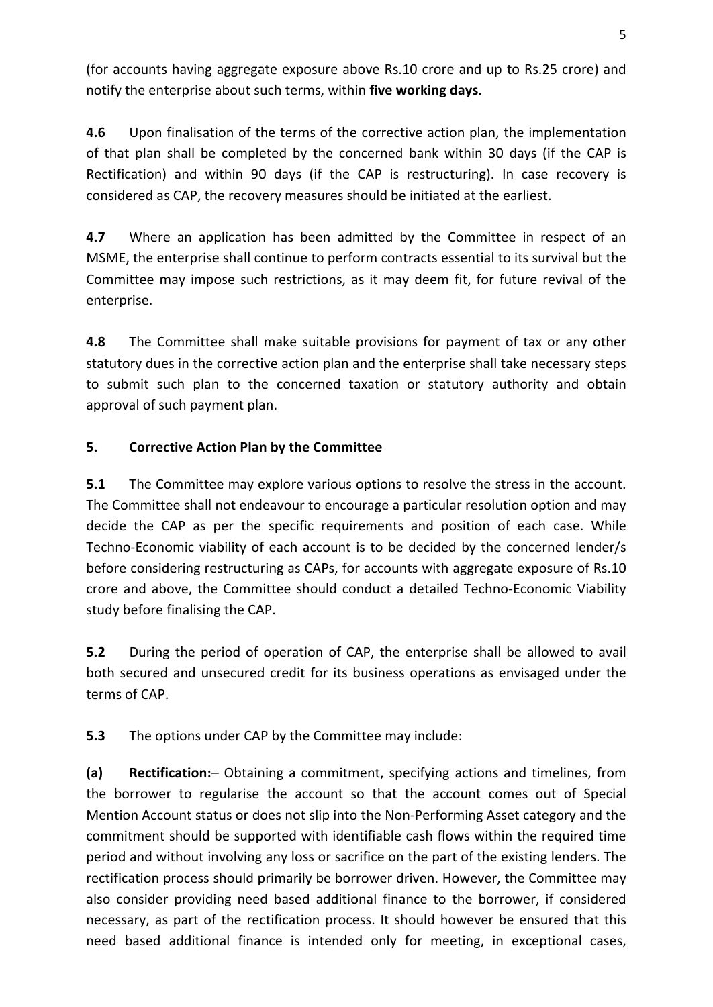(for accounts having aggregate exposure above Rs.10 crore and up to Rs.25 crore) and notify the enterprise about such terms, within **five working days**.

**4.6** Upon finalisation of the terms of the corrective action plan, the implementation of that plan shall be completed by the concerned bank within 30 days (if the CAP is Rectification) and within 90 days (if the CAP is restructuring). In case recovery is considered as CAP, the recovery measures should be initiated at the earliest.

**4.7** Where an application has been admitted by the Committee in respect of an MSME, the enterprise shall continue to perform contracts essential to its survival but the Committee may impose such restrictions, as it may deem fit, for future revival of the enterprise.

**4.8** The Committee shall make suitable provisions for payment of tax or any other statutory dues in the corrective action plan and the enterprise shall take necessary steps to submit such plan to the concerned taxation or statutory authority and obtain approval of such payment plan.

# **5. Corrective Action Plan by the Committee**

**5.1** The Committee may explore various options to resolve the stress in the account. The Committee shall not endeavour to encourage a particular resolution option and may decide the CAP as per the specific requirements and position of each case. While Techno-Economic viability of each account is to be decided by the concerned lender/s before considering restructuring as CAPs, for accounts with aggregate exposure of Rs.10 crore and above, the Committee should conduct a detailed Techno-Economic Viability study before finalising the CAP.

**5.2** During the period of operation of CAP, the enterprise shall be allowed to avail both secured and unsecured credit for its business operations as envisaged under the terms of CAP.

**5.3** The options under CAP by the Committee may include:

**(a) Rectification:**– Obtaining a commitment, specifying actions and timelines, from the borrower to regularise the account so that the account comes out of Special Mention Account status or does not slip into the Non-Performing Asset category and the commitment should be supported with identifiable cash flows within the required time period and without involving any loss or sacrifice on the part of the existing lenders. The rectification process should primarily be borrower driven. However, the Committee may also consider providing need based additional finance to the borrower, if considered necessary, as part of the rectification process. It should however be ensured that this need based additional finance is intended only for meeting, in exceptional cases,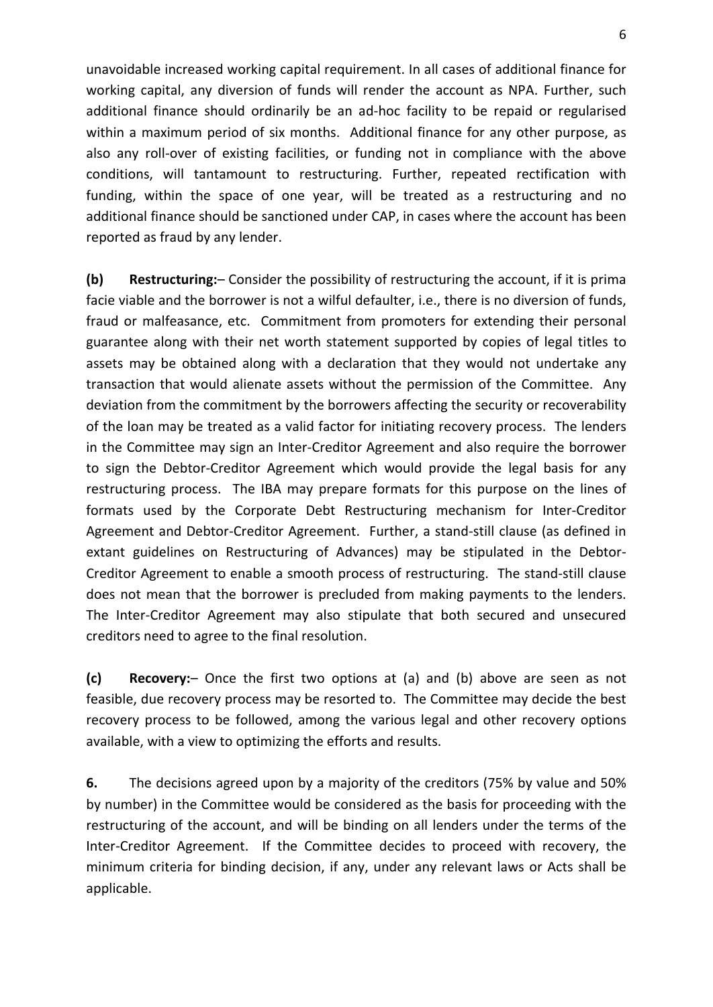unavoidable increased working capital requirement. In all cases of additional finance for working capital, any diversion of funds will render the account as NPA. Further, such additional finance should ordinarily be an ad-hoc facility to be repaid or regularised within a maximum period of six months. Additional finance for any other purpose, as also any roll-over of existing facilities, or funding not in compliance with the above conditions, will tantamount to restructuring. Further, repeated rectification with funding, within the space of one year, will be treated as a restructuring and no additional finance should be sanctioned under CAP, in cases where the account has been reported as fraud by any lender.

**(b) Restructuring:**– Consider the possibility of restructuring the account, if it is prima facie viable and the borrower is not a wilful defaulter, i.e., there is no diversion of funds, fraud or malfeasance, etc. Commitment from promoters for extending their personal guarantee along with their net worth statement supported by copies of legal titles to assets may be obtained along with a declaration that they would not undertake any transaction that would alienate assets without the permission of the Committee. Any deviation from the commitment by the borrowers affecting the security or recoverability of the loan may be treated as a valid factor for initiating recovery process. The lenders in the Committee may sign an Inter-Creditor Agreement and also require the borrower to sign the Debtor-Creditor Agreement which would provide the legal basis for any restructuring process. The IBA may prepare formats for this purpose on the lines of formats used by the Corporate Debt Restructuring mechanism for Inter-Creditor Agreement and Debtor-Creditor Agreement. Further, a stand-still clause (as defined in extant guidelines on Restructuring of Advances) may be stipulated in the Debtor-Creditor Agreement to enable a smooth process of restructuring. The stand-still clause does not mean that the borrower is precluded from making payments to the lenders. The Inter-Creditor Agreement may also stipulate that both secured and unsecured creditors need to agree to the final resolution.

**(c) Recovery:**– Once the first two options at (a) and (b) above are seen as not feasible, due recovery process may be resorted to. The Committee may decide the best recovery process to be followed, among the various legal and other recovery options available, with a view to optimizing the efforts and results.

**6.** The decisions agreed upon by a majority of the creditors (75% by value and 50% by number) in the Committee would be considered as the basis for proceeding with the restructuring of the account, and will be binding on all lenders under the terms of the Inter-Creditor Agreement. If the Committee decides to proceed with recovery, the minimum criteria for binding decision, if any, under any relevant laws or Acts shall be applicable.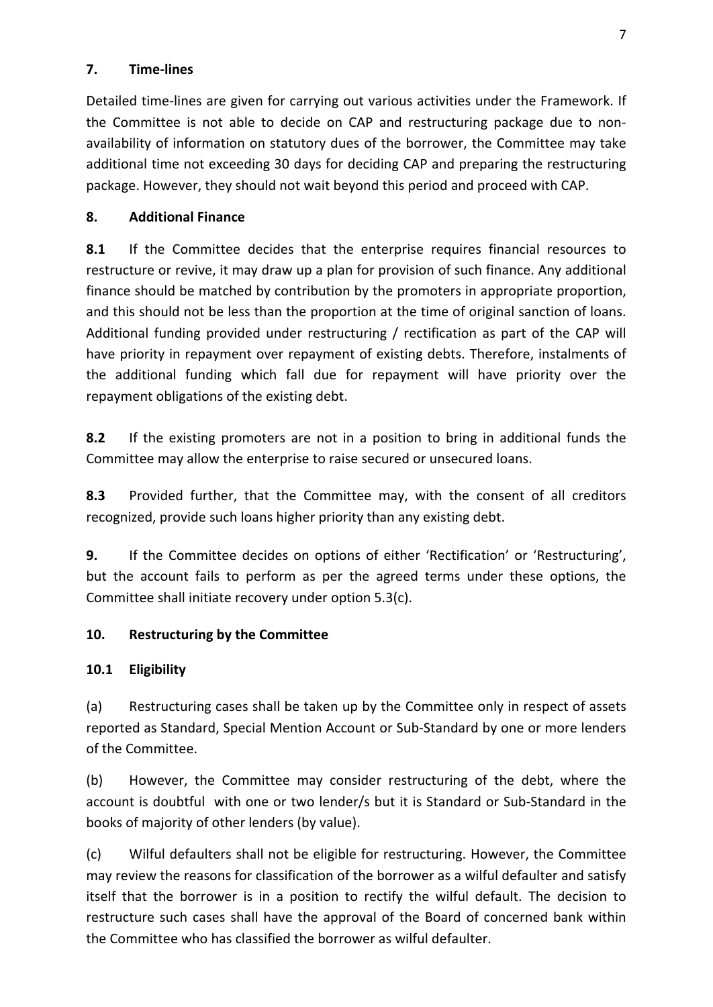#### **7. Time-lines**

Detailed time-lines are given for carrying out various activities under the Framework. If the Committee is not able to decide on CAP and restructuring package due to nonavailability of information on statutory dues of the borrower, the Committee may take additional time not exceeding 30 days for deciding CAP and preparing the restructuring package. However, they should not wait beyond this period and proceed with CAP.

# **8. Additional Finance**

**8.1** If the Committee decides that the enterprise requires financial resources to restructure or revive, it may draw up a plan for provision of such finance. Any additional finance should be matched by contribution by the promoters in appropriate proportion, and this should not be less than the proportion at the time of original sanction of loans. Additional funding provided under restructuring / rectification as part of the CAP will have priority in repayment over repayment of existing debts. Therefore, instalments of the additional funding which fall due for repayment will have priority over the repayment obligations of the existing debt.

**8.2** If the existing promoters are not in a position to bring in additional funds the Committee may allow the enterprise to raise secured or unsecured loans.

**8.3** Provided further, that the Committee may, with the consent of all creditors recognized, provide such loans higher priority than any existing debt.

**9.** If the Committee decides on options of either 'Rectification' or 'Restructuring', but the account fails to perform as per the agreed terms under these options, the Committee shall initiate recovery under option 5.3(c).

# **10. Restructuring by the Committee**

# **10.1 Eligibility**

(a) Restructuring cases shall be taken up by the Committee only in respect of assets reported as Standard, Special Mention Account or Sub-Standard by one or more lenders of the Committee.

(b) However, the Committee may consider restructuring of the debt, where the account is doubtful with one or two lender/s but it is Standard or Sub-Standard in the books of majority of other lenders (by value).

(c) Wilful defaulters shall not be eligible for restructuring. However, the Committee may review the reasons for classification of the borrower as a wilful defaulter and satisfy itself that the borrower is in a position to rectify the wilful default. The decision to restructure such cases shall have the approval of the Board of concerned bank within the Committee who has classified the borrower as wilful defaulter.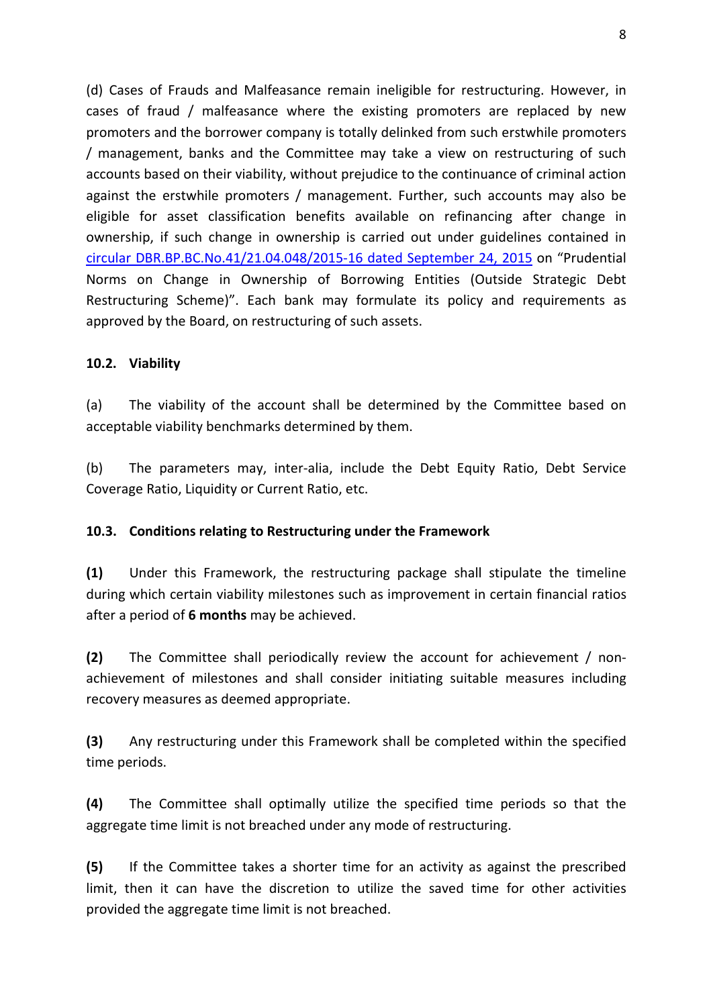(d) Cases of Frauds and Malfeasance remain ineligible for restructuring. However, in cases of fraud / malfeasance where the existing promoters are replaced by new promoters and the borrower company is totally delinked from such erstwhile promoters / management, banks and the Committee may take a view on restructuring of such accounts based on their viability, without prejudice to the continuance of criminal action against the erstwhile promoters / management. Further, such accounts may also be eligible for asset classification benefits available on refinancing after change in ownership, if such change in ownership is carried out under guidelines contained in [circular DBR.BP.BC.No.41/21.04.048/2015-16 dated September 24, 2015](https://rbi.org.in/Scripts/NotificationUser.aspx?Id=10039&Mode=0) on "Prudential Norms on Change in Ownership of Borrowing Entities (Outside Strategic Debt Restructuring Scheme)". Each bank may formulate its policy and requirements as approved by the Board, on restructuring of such assets.

#### **10.2. Viability**

(a) The viability of the account shall be determined by the Committee based on acceptable viability benchmarks determined by them.

(b) The parameters may, inter-alia, include the Debt Equity Ratio, Debt Service Coverage Ratio, Liquidity or Current Ratio, etc.

#### **10.3. Conditions relating to Restructuring under the Framework**

**(1)** Under this Framework, the restructuring package shall stipulate the timeline during which certain viability milestones such as improvement in certain financial ratios after a period of **6 months** may be achieved.

**(2)** The Committee shall periodically review the account for achievement / nonachievement of milestones and shall consider initiating suitable measures including recovery measures as deemed appropriate.

**(3)** Any restructuring under this Framework shall be completed within the specified time periods.

**(4)** The Committee shall optimally utilize the specified time periods so that the aggregate time limit is not breached under any mode of restructuring.

**(5)** If the Committee takes a shorter time for an activity as against the prescribed limit, then it can have the discretion to utilize the saved time for other activities provided the aggregate time limit is not breached.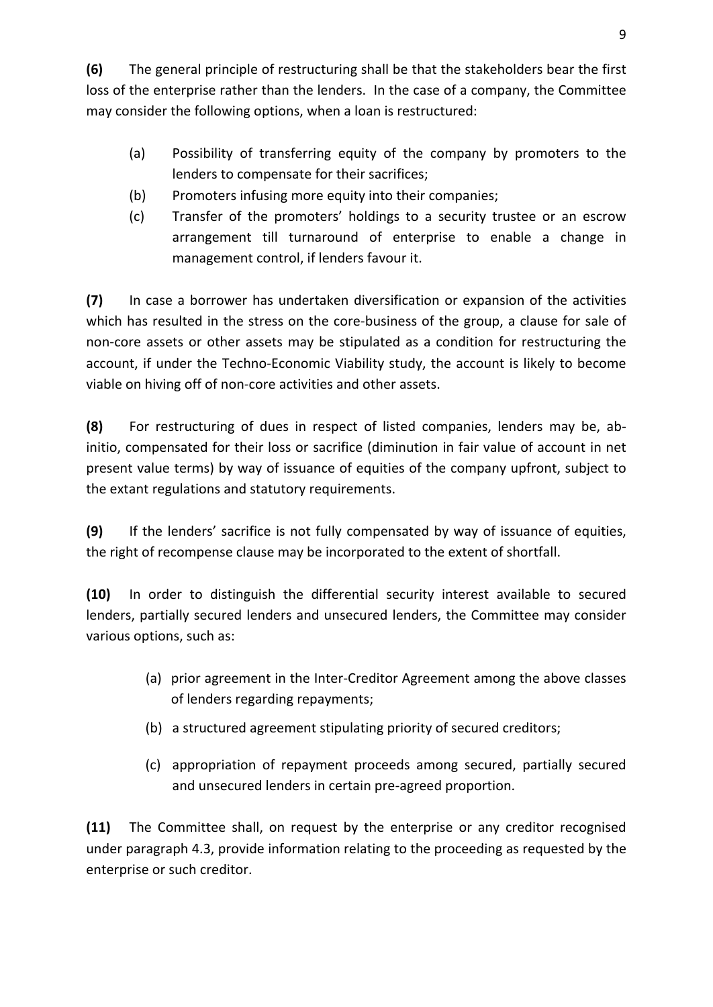**(6)** The general principle of restructuring shall be that the stakeholders bear the first loss of the enterprise rather than the lenders. In the case of a company, the Committee may consider the following options, when a loan is restructured:

- (a) Possibility of transferring equity of the company by promoters to the lenders to compensate for their sacrifices;
- (b) Promoters infusing more equity into their companies;
- (c) Transfer of the promoters' holdings to a security trustee or an escrow arrangement till turnaround of enterprise to enable a change in management control, if lenders favour it.

**(7)** In case a borrower has undertaken diversification or expansion of the activities which has resulted in the stress on the core-business of the group, a clause for sale of non-core assets or other assets may be stipulated as a condition for restructuring the account, if under the Techno-Economic Viability study, the account is likely to become viable on hiving off of non-core activities and other assets.

**(8)** For restructuring of dues in respect of listed companies, lenders may be, abinitio, compensated for their loss or sacrifice (diminution in fair value of account in net present value terms) by way of issuance of equities of the company upfront, subject to the extant regulations and statutory requirements.

**(9)** If the lenders' sacrifice is not fully compensated by way of issuance of equities, the right of recompense clause may be incorporated to the extent of shortfall.

**(10)** In order to distinguish the differential security interest available to secured lenders, partially secured lenders and unsecured lenders, the Committee may consider various options, such as:

- (a) prior agreement in the Inter-Creditor Agreement among the above classes of lenders regarding repayments;
- (b) a structured agreement stipulating priority of secured creditors;
- (c) appropriation of repayment proceeds among secured, partially secured and unsecured lenders in certain pre-agreed proportion.

**(11)** The Committee shall, on request by the enterprise or any creditor recognised under paragraph 4.3, provide information relating to the proceeding as requested by the enterprise or such creditor.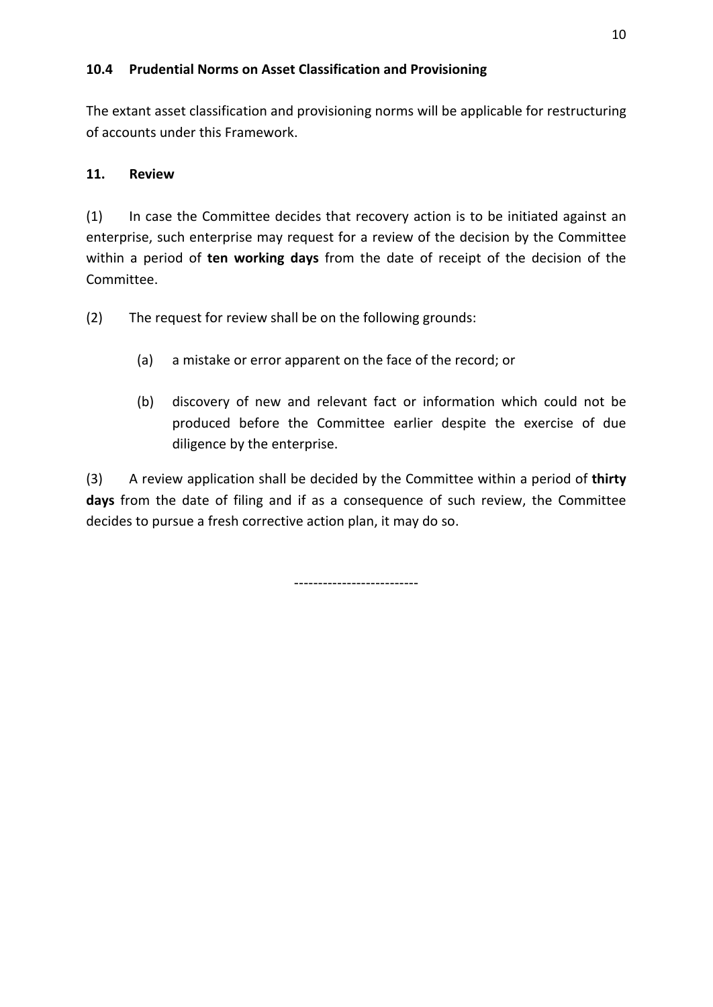### **10.4 Prudential Norms on Asset Classification and Provisioning**

The extant asset classification and provisioning norms will be applicable for restructuring of accounts under this Framework.

# **11. Review**

(1) In case the Committee decides that recovery action is to be initiated against an enterprise, such enterprise may request for a review of the decision by the Committee within a period of **ten working days** from the date of receipt of the decision of the Committee.

- (2) The request for review shall be on the following grounds:
	- (a) a mistake or error apparent on the face of the record; or
	- (b) discovery of new and relevant fact or information which could not be produced before the Committee earlier despite the exercise of due diligence by the enterprise.

(3) A review application shall be decided by the Committee within a period of **thirty days** from the date of filing and if as a consequence of such review, the Committee decides to pursue a fresh corrective action plan, it may do so.

--------------------------